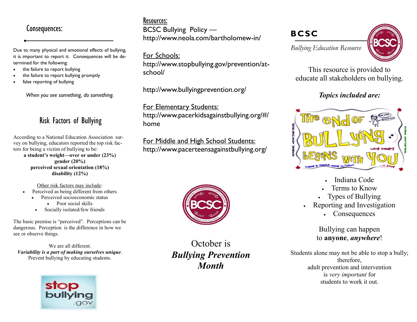Due to many physical and emotional effects of bullying, it is important to report it. Consequences will be determined for the following:

- the failure to report bullying
- the failure to report bullying promptly
- false reporting of bullying

*When you see something, do something.*

## Risk Factors of Bullying

According to a National Education Association survey on bullying, educators reported the top risk factors for being a victim of bullying to be: **a student's weight—over or under (23%) gender (20%) perceived sexual orientation (18%) disability (12%)**

Other risk factors may include:

- Perceived as being different from others
	- Perceived socioeconomic status
		- Poor social skills
		- Socially isolated/few friends

The basic premise is "perceived". Perceptions can be dangerous. Perception is the difference in how we see or observe things.

We are all different. *Variability is a part of making ourselves unique*. Prevent bullying by educating students.



## Consequences: **BCSC Bullying Policy — BCSC** Resources: http://www.neola.com/bartholomew-in/

For Schools: http://www.stopbullying.gov/prevention/atschool/

http://www.bullyingprevention.org/

For Elementary Students: http://www.pacerkidsagainstbullying.org/#/ home

For Middle and High School Students: http://www.pacerteensagainstbullying.org/



October is *Bullying Prevention Month*

*Bullying Education Resource* 



This resource is provided to educate all stakeholders on bullying.

## *Topics included are:*



- Indiana Code
- Terms to Know
- Types of Bullying
- Reporting and Investigation
	- Consequences

Bullying can happen to **anyone**, *anywhere*!

Students alone may not be able to stop a bully; therefore, adult prevention and intervention is *very important* for students to work it out.